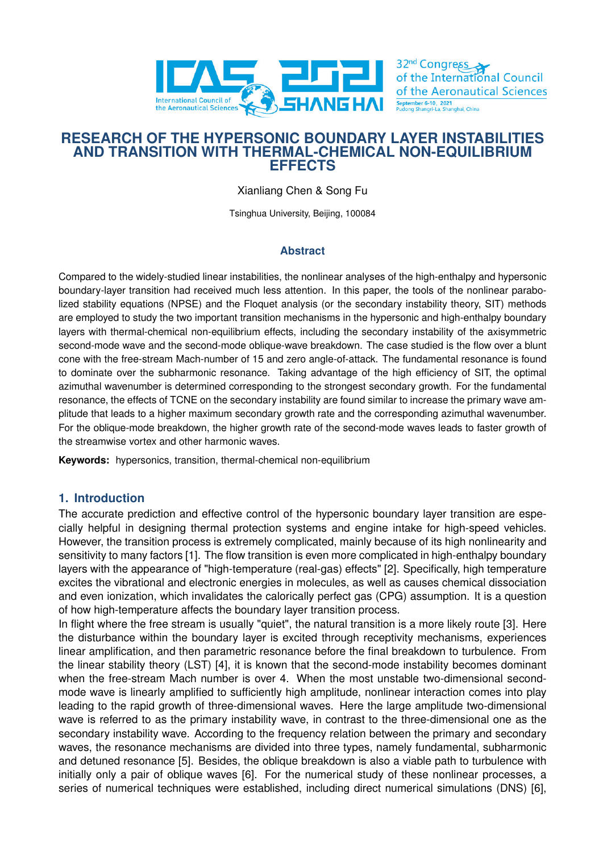

# **RESEARCH OF THE HYPERSONIC BOUNDARY LAYER INSTABILITIES AND TRANSITION WITH THERMAL-CHEMICAL NON-EQUILIBRIUM EFFECTS**

Xianliang Chen & Song Fu

Tsinghua University, Beijing, 100084

## **Abstract**

Compared to the widely-studied linear instabilities, the nonlinear analyses of the high-enthalpy and hypersonic boundary-layer transition had received much less attention. In this paper, the tools of the nonlinear parabolized stability equations (NPSE) and the Floquet analysis (or the secondary instability theory, SIT) methods are employed to study the two important transition mechanisms in the hypersonic and high-enthalpy boundary layers with thermal-chemical non-equilibrium effects, including the secondary instability of the axisymmetric second-mode wave and the second-mode oblique-wave breakdown. The case studied is the flow over a blunt cone with the free-stream Mach-number of 15 and zero angle-of-attack. The fundamental resonance is found to dominate over the subharmonic resonance. Taking advantage of the high efficiency of SIT, the optimal azimuthal wavenumber is determined corresponding to the strongest secondary growth. For the fundamental resonance, the effects of TCNE on the secondary instability are found similar to increase the primary wave amplitude that leads to a higher maximum secondary growth rate and the corresponding azimuthal wavenumber. For the oblique-mode breakdown, the higher growth rate of the second-mode waves leads to faster growth of the streamwise vortex and other harmonic waves.

**Keywords:** hypersonics, transition, thermal-chemical non-equilibrium

# **1. Introduction**

The accurate prediction and effective control of the hypersonic boundary layer transition are especially helpful in designing thermal protection systems and engine intake for high-speed vehicles. However, the transition process is extremely complicated, mainly because of its high nonlinearity and sensitivity to many factors [1]. The flow transition is even more complicated in high-enthalpy boundary layers with the appearance of "high-temperature (real-gas) effects" [2]. Specifically, high temperature excites the vibrational and electronic energies in molecules, as well as causes chemical dissociation and even ionization, which invalidates the calorically perfect gas (CPG) assumption. It is a question of how high-temperature a[ffe](#page-7-0)cts the boundary layer transition process.

In flight where the free stream is usually "quiet", the natural transiti[on](#page-7-1) is a more likely route [3]. Here the disturbance within the boundary layer is excited through receptivity mechanisms, experiences linear amplification, and then parametric resonance before the final breakdown to turbulence. From the linear stability theory (LST) [4], it is known that the second-mode instability becomes dominant when the free-stream Mach number is over 4. When the most unstable two-dimensional [s](#page-7-2)econdmode wave is linearly amplified to sufficiently high amplitude, nonlinear interaction comes into play leading to the rapid growth of three-dimensional waves. Here the large amplitude two-dimensional wave is referred to as the prima[ry](#page-7-3) instability wave, in contrast to the three-dimensional one as the secondary instability wave. According to the frequency relation between the primary and secondary waves, the resonance mechanisms are divided into three types, namely fundamental, subharmonic and detuned resonance [5]. Besides, the oblique breakdown is also a viable path to turbulence with initially only a pair of oblique waves [6]. For the numerical study of these nonlinear processes, a series of numerical techniques were established, including direct numerical simulations (DNS) [6],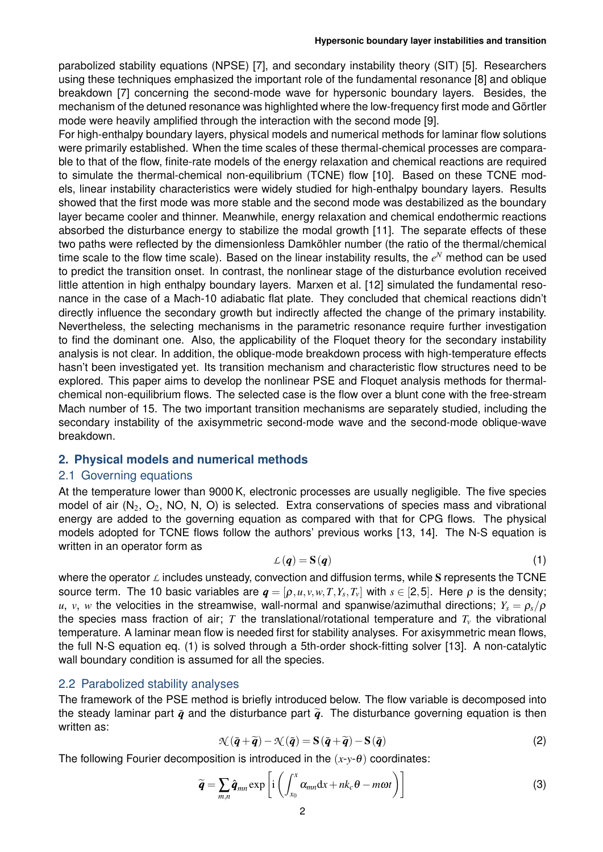parabolized stability equations (NPSE) [7], and secondary instability theory (SIT) [5]. Researchers using these techniques emphasized the important role of the fundamental resonance [8] and oblique breakdown [7] concerning the second-mode wave for hypersonic boundary layers. Besides, the mechanism of the detuned resonance was highlighted where the low-frequency first [mo](#page-7-5)de and Görtler mode were heavily amplified through th[e in](#page-7-4)teraction with the second mode [9].

For high-enthalpy boundary layers, physical models and numerical methods for lamina[r fl](#page-7-6)ow solutions were primari[ly](#page-7-4) established. When the time scales of these thermal-chemical processes are comparable to that of the flow, finite-rate models of the energy relaxation and chemical reactions are required to simulate the thermal-chemical non-equilibrium (TCNE) flow [10]. Bas[ed](#page-8-0) on these TCNE models, linear instability characteristics were widely studied for high-enthalpy boundary layers. Results showed that the first mode was more stable and the second mode was destabilized as the boundary layer became cooler and thinner. Meanwhile, energy relaxation and chemical endothermic reactions absorbed the disturbance energy to stabilize the modal growth [\[11](#page-8-1)]. The separate effects of these two paths were reflected by the dimensionless Damköhler number (the ratio of the thermal/chemical time scale to the flow time scale). Based on the linear instability results, the  $e^N$  method can be used to predict the transition onset. In contrast, the nonlinear stage of the disturbance evolution received little attention in high enthalpy boundary layers. Marxen et al. [1[2\] s](#page-8-2)imulated the fundamental resonance in the case of a Mach-10 adiabatic flat plate. They concluded that chemical reactions didn't directly influence the secondary growth but indirectly affected the change of the primary instability. Nevertheless, the selecting mechanisms in the parametric resonance require further investigation to find the dominant one. Also, the applicability of the Floque[t th](#page-8-3)eory for the secondary instability analysis is not clear. In addition, the oblique-mode breakdown process with high-temperature effects hasn't been investigated yet. Its transition mechanism and characteristic flow structures need to be explored. This paper aims to develop the nonlinear PSE and Floquet analysis methods for thermalchemical non-equilibrium flows. The selected case is the flow over a blunt cone with the free-stream Mach number of 15. The two important transition mechanisms are separately studied, including the secondary instability of the axisymmetric second-mode wave and the second-mode oblique-wave breakdown.

### **2. Physical models and numerical methods**

#### 2.1 Governing equations

<span id="page-1-3"></span>At the temperature lower than 9000 K, electronic processes are usually negligible. The five species model of air  $(N_2, O_2, NO, N, O)$  is selected. Extra conservations of species mass and vibrational energy are added to the governing equation as compared with that for CPG flows. The physical models adopted for TCNE flows follow the authors' previous works [13, 14]. The N-S equation is written in an operator form as

<span id="page-1-0"></span>
$$
\mathcal{L}(\boldsymbol{q}) = \mathbf{S}(\boldsymbol{q}) \tag{1}
$$

where the operator *L* includes unsteady, convection and diffusion term[s, w](#page-8-4)[hile](#page-8-5) S represents the TCNE source term. The 10 basic variables are  $\bm{q}=[\rho, u, v, w, T, Y_s, T_v]$  with  $s\in[2,5]$ . Here  $\rho$  is the density;  $u, v, w$  the velocities in the streamwise, wall-normal and spanwise/azimuthal directions;  $Y_s = \rho_s/\rho$ the species mass fraction of air; *T* the translational/rotational temperature and *T<sup>v</sup>* the vibrational temperature. A laminar mean flow is needed first for stability analyses. For axisymmetric mean flows, the full N-S equation eq. (1) is solved through a 5th-order shock-fitting solver [13]. A non-catalytic wall boundary condition is assumed for all the species.

#### 2.2 Parabolized stability analyses

The framework of the [PSE m](#page-1-0)ethod is briefly introduced below. The flow variable [is](#page-8-4) decomposed into the steady laminar part  $\bar{q}$  and the disturbance part  $\tilde{q}$ . The disturbance governing equation is then written as:

<span id="page-1-1"></span>
$$
\mathcal{N}(\bar{q} + \widetilde{q}) - \mathcal{N}(\bar{q}) = S(\bar{q} + \widetilde{q}) - S(\bar{q})
$$
\n(2)

<span id="page-1-2"></span>The following Fourier decomposition is introduced in the  $(x-y-\theta)$  coordinates:

$$
\widetilde{\boldsymbol{q}} = \sum_{m,n} \hat{\boldsymbol{q}}_{mn} \exp\left[i\left(\int_{x_0}^x \alpha_{mn} \mathrm{d}x + nk_c \theta - m \omega t\right)\right]
$$
 (3)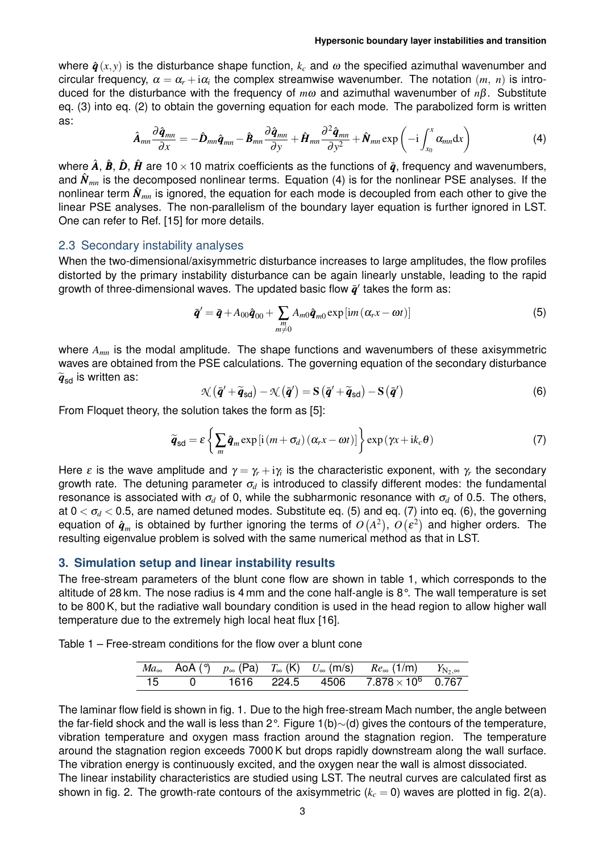where  $\hat{\boldsymbol{q}}(x,y)$  is the disturbance shape function,  $k_c$  and  $\omega$  the specified azimuthal wavenumber and circular frequency,  $\alpha = \alpha_r + i\alpha_i$  the complex streamwise wavenumber. The notation  $(m, n)$  is introduced for the disturbance with the frequency of *m*<sup>ω</sup> and azimuthal wavenumber of *n*β. Substitute eq. (3) into eq. (2) to obtain the governing equation for each mode. The parabolized form is written as:

$$
\hat{\boldsymbol{A}}_{mn}\frac{\partial \hat{\boldsymbol{q}}_{mn}}{\partial x} = -\hat{\boldsymbol{D}}_{mn}\hat{\boldsymbol{q}}_{mn} - \hat{\boldsymbol{B}}_{mn}\frac{\partial \hat{\boldsymbol{q}}_{mn}}{\partial y} + \hat{\boldsymbol{H}}_{mn}\frac{\partial^2 \hat{\boldsymbol{q}}_{mn}}{\partial y^2} + \hat{\boldsymbol{N}}_{mn}\exp\left(-i\int_{x_0}^x \alpha_{mn}dx\right)
$$
(4)

[where](#page-1-1)  $\hat{A}$ ,  $\hat{B}$ ,  $\hat{D}$  $\hat{D}$  $\hat{D}$ ,  $\hat{H}$  are 10 × 10 matrix coefficients as the functions of  $\bar{q}$ , frequency and wavenumbers, and  $\hat{\mathbf{N}}_{mn}$  is the decomposed nonlinear terms. Equation (4) is for the nonlinear PSE analyses. If the nonlinear term  $\hat{N}_{mn}$  is ignored, the equation for each mode is decoupled from each other to give the linear PSE analyses. The non-parallelism of the boundary layer equation is further ignored in LST. One can refer to Ref. [15] for more details.

### 2.3 Secondary instability analyses

When the two-dimensional/axisymmetric disturbance increases to large amplitudes, the flow profiles distorted by the prim[ary](#page-8-6) instability disturbance can be again linearly unstable, leading to the rapid growth of three-dimensional waves. The updated basic flow  $\bar{q}'$  takes the form as:

$$
\bar{\boldsymbol{q}}' = \bar{\boldsymbol{q}} + A_{00}\hat{\boldsymbol{q}}_{00} + \sum_{\substack{m\\m \neq 0}} A_{m0}\hat{\boldsymbol{q}}_{m0} \exp\left[i m\left(\alpha_r x - \omega t\right)\right]
$$
\n(5)

where *Amn* is the modal amplitude. The shape functions and wavenumbers of these axisymmetric waves are obtained from the PSE calculations. The governing equation of the secondary disturbance  $\widetilde{\boldsymbol{q}}_{sd}$  is written as:

<span id="page-2-2"></span><span id="page-2-0"></span>
$$
\mathcal{N}\left(\bar{\boldsymbol{q}}^{\prime}+\widetilde{\boldsymbol{q}}_{sd}\right)-\mathcal{N}\left(\bar{\boldsymbol{q}}^{\prime}\right)=\mathbf{S}\left(\bar{\boldsymbol{q}}^{\prime}+\widetilde{\boldsymbol{q}}_{sd}\right)-\mathbf{S}\left(\bar{\boldsymbol{q}}^{\prime}\right)
$$
\n(6)

From Floquet theory, the solution takes the form as [5]:

$$
\widetilde{\boldsymbol{q}}_{sd} = \varepsilon \left\{ \sum_{m} \hat{\boldsymbol{q}}_{m} \exp\left[i\left(m + \sigma_{d}\right)\left(\alpha_{r} x - \omega t\right)\right] \right\} \exp\left(\gamma x + i k_{c} \theta\right) \tag{7}
$$

Here  $\varepsilon$  is the wave amplitude and  $\gamma = \gamma_r + \mathrm{i} \gamma_i$  is th[e c](#page-7-5)haracteristic exponent, with  $\gamma_r$  the secondary growth rate. The detuning parameter <sup>σ</sup>*<sup>d</sup>* is introduced to classify different modes: the fundamental resonance is associated with  $\sigma_d$  of 0, while the subharmonic resonance with  $\sigma_d$  of 0.5. The others, at  $0 < \sigma_d < 0.5$ , are named detuned modes. Substitute eq. (5) and eq. (7) into eq. (6), the governing equation of  $\hat{\bm{q}}_m$  is obtained by further ignoring the terms of  $O\left(A^2\right)$ ,  $O\left(\varepsilon^2\right)$  and higher orders. The resulting eigenvalue problem is solved with the same numerical method as that in LST.

### **3. Simulation setup and linear instability result[s](#page-2-0)**

<span id="page-2-1"></span>The free-stream parameters of the blunt cone flow are shown in table 1, which corresponds to the altitude of 28 km. The nose radius is 4 mm and the cone half-angle is 8°. The wall temperature is set to be 800 K, but the radiative wall boundary condition is used in the head region to allow higher wall temperature due to the extremely high local heat flux [16].

Table 1 – Free-stream conditions for the flow over a blunt cone

|      |  |  | $Ma_{\infty}$ AoA (°) $p_{\infty}$ (Pa) $T_{\infty}$ (K) $U_{\infty}$ (m/s) $Re_{\infty}$ (1/m) $Y_{N_2,\infty}$ |  |
|------|--|--|------------------------------------------------------------------------------------------------------------------|--|
| - 15 |  |  | 0   1616  224.5  4506  7.878 $\times$ 10 <sup>6</sup> 0.767                                                      |  |

The laminar flow field is shown in fig. 1. Due to the high free-stream Mach number, the angle between the far-field shock and the wall is less than 2°. Figure 1(b)*∼*(d) gives the contours of the temperature, vibration temperature and oxygen mass fraction around the stagnation region. The temperature around the stagnation region exceeds 7000 K but drops rapidly downstream along the wall surface. The vibration energy is continuo[usly e](#page-3-0)xcited, and the oxygen near the wall is almost dissociated. The linear instability characteristics are studie[d using L](#page-3-0)ST. The neutral curves are calculated first as shown in fig. 2. The growth-rate contours of the axisymmetric  $(k<sub>c</sub> = 0)$  waves are plotted in fig. 2(a).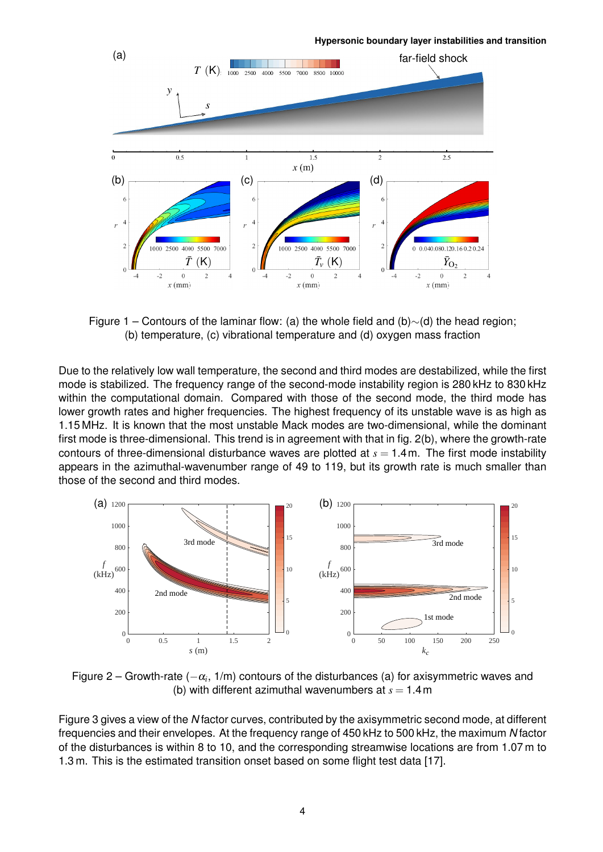<span id="page-3-0"></span>

Figure 1 – Contours of the laminar flow: (a) the whole field and (b)*∼*(d) the head region; (b) temperature, (c) vibrational temperature and (d) oxygen mass fraction

Due to the relatively low wall temperature, the second and third modes are destabilized, while the first mode is stabilized. The frequency range of the second-mode instability region is 280 kHz to 830 kHz within the computational domain. Compared with those of the second mode, the third mode has lower growth rates and higher frequencies. The highest frequency of its unstable wave is as high as 1.15 MHz. It is known that the most unstable Mack modes are two-dimensional, while the dominant first mode is three-dimensional. This trend is in agreement with that in fig. 2(b), where the growth-rate contours of three-dimensional disturbance waves are plotted at  $s = 1.4$ m. The first mode instability appears in the azimuthal-wavenumber range of 49 to 119, but its growth rate is much smaller than those of the second and third modes.



Figure 2 – Growth-rate (*−*<sup>α</sup>*<sup>i</sup>* , 1/m) contours of the disturbances (a) for axisymmetric waves and (b) with different azimuthal wavenumbers at  $s = 1.4$  m

Figure 3 gives a view of the *N* factor curves, contributed by the axisymmetric second mode, at different frequencies and their envelopes. At the frequency range of 450 kHz to 500 kHz, the maximum *N* factor of the disturbances is within 8 to 10, and the corresponding streamwise locations are from 1.07 m to [1.3 m. T](#page-4-0)his is the estimated transition onset based on some flight test data [17].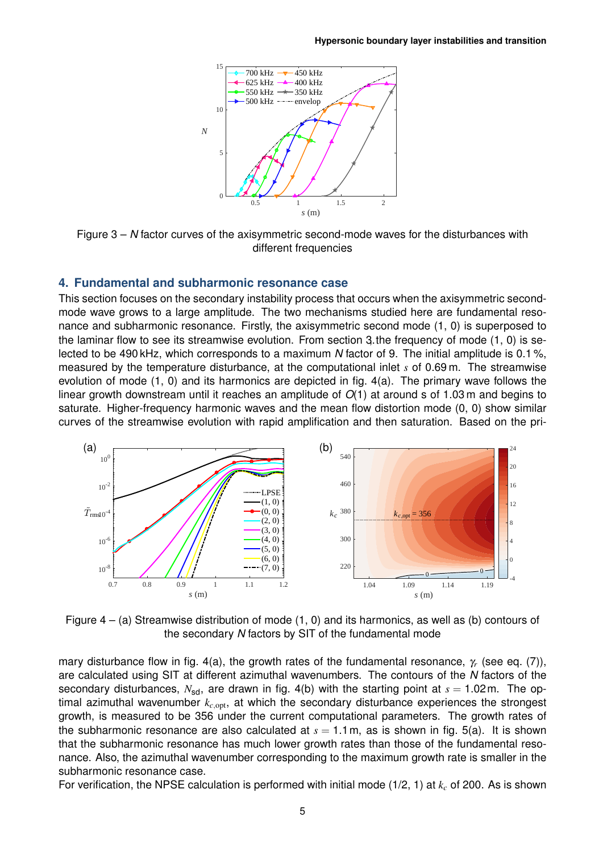

<span id="page-4-0"></span>Figure 3 – *N* factor curves of the axisymmetric second-mode waves for the disturbances with different frequencies

#### **4. Fundamental and subharmonic resonance case**

This section focuses on the secondary instability process that occurs when the axisymmetric secondmode wave grows to a large amplitude. The two mechanisms studied here are fundamental resonance and subharmonic resonance. Firstly, the axisymmetric second mode (1, 0) is superposed to the laminar flow to see its streamwise evolution. From section 3 the frequency of mode (1, 0) is selected to be 490 kHz, which corresponds to a maximum *N* factor of 9. The initial amplitude is 0.1 %, measured by the temperature disturbance, at the computational inlet *s* of 0.69 m. The streamwise evolution of mode (1, 0) and its harmonics are depicted in fig. 4(a). The primary wave follows the linear growth downstream until it reaches an amplitude of *O*[\(1\) a](#page-2-1)t around s of 1.03 m and begins to saturate. Higher-frequency harmonic waves and the mean flow distortion mode (0, 0) show similar curves of the streamwise evolution with rapid amplification [and t](#page-4-1)hen saturation. Based on the pri-

<span id="page-4-1"></span>

Figure  $4 - (a)$  Streamwise distribution of mode  $(1, 0)$  and its harmonics, as well as (b) contours of the secondary *N* factors by SIT of the fundamental mode

mary disturbance flow in fig. 4(a), the growth rates of the fundamental resonance, <sup>γ</sup>*<sup>r</sup>* (see eq. (7)), are calculated using SIT at different azimuthal wavenumbers. The contours of the *N* factors of the secondary disturbances,  $N_{sd}$ , are drawn in fig. 4(b) with the starting point at  $s = 1.02$ m. The optimal azimuthal wavenumber  $k_{c, \text{opt}}$ , at which the secondary disturbance experiences the strongest growth, is measured to [be 356](#page-4-1) under the current computational parameters. The growth [rates o](#page-2-2)f the subharmonic resonance are also calculated at  $s = 1.1$  m, as is shown in fig. 5(a). It is shown that the subharmonic resonance has much [lower](#page-4-1) growth rates than those of the fundamental resonance. Also, the azimuthal wavenumber corresponding to the maximum growth rate is smaller in the subharmonic resonance case.

For verification, the NPSE calculation is performed with initial mode (1/2, 1) at *k<sup>c</sup>* [of 2](#page-5-0)00. As is shown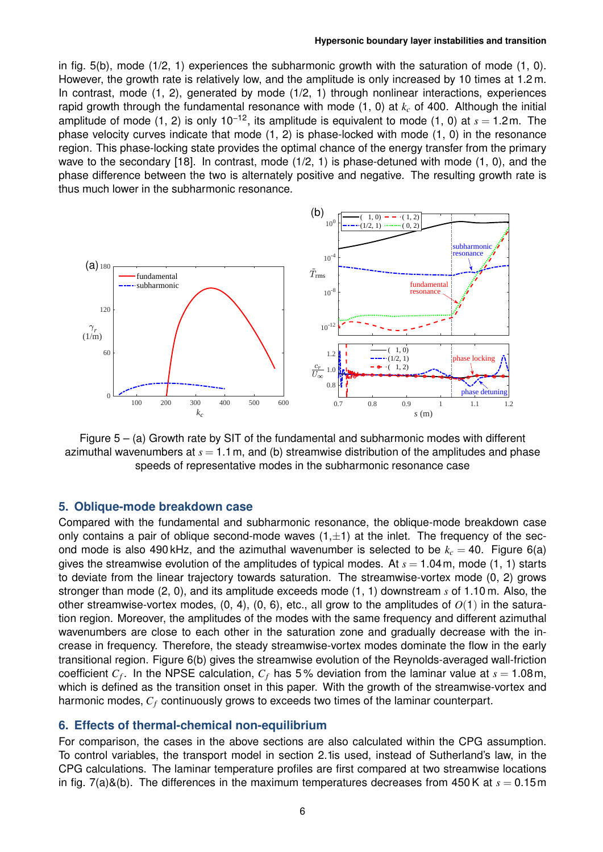in fig. 5(b), mode (1/2, 1) experiences the subharmonic growth with the saturation of mode (1, 0). However, the growth rate is relatively low, and the amplitude is only increased by 10 times at 1.2 m. In contrast, mode (1, 2), generated by mode (1/2, 1) through nonlinear interactions, experiences rapid growth through the fundamental resonance with mode (1, 0) at *k<sup>c</sup>* of 400. Although the initial a[mplitud](#page-5-0)e of mode (1, 2) is only 10−12, its amplitude is equivalent to mode (1, 0) at *s* = 1.2m. The phase velocity curves indicate that mode (1, 2) is phase-locked with mode (1, 0) in the resonance region. This phase-locking state provides the optimal chance of the energy transfer from the primary wave to the secondary [18]. In contrast, mode (1/2, 1) is phase-detuned with mode (1, 0), and the phase difference between the two is alternately positive and negative. The resulting growth rate is thus much lower in the subharmonic resonance.

<span id="page-5-0"></span>

Figure  $5 - (a)$  Growth rate by SIT of the fundamental and subharmonic modes with different azimuthal wavenumbers at  $s = 1.1$  m, and (b) streamwise distribution of the amplitudes and phase speeds of representative modes in the subharmonic resonance case

#### **5. Oblique-mode breakdown case**

Compared with the fundamental and subharmonic resonance, the oblique-mode breakdown case only contains a pair of oblique second-mode waves (1,*±*1) at the inlet. The frequency of the second mode is also 490 kHz, and the azimuthal wavenumber is selected to be  $k_c = 40$ . Figure 6(a) gives the streamwise evolution of the amplitudes of typical modes. At  $s = 1.04$  m, mode (1, 1) starts to deviate from the linear trajectory towards saturation. The streamwise-vortex mode (0, 2) grows stronger than mode (2, 0), and its amplitude exceeds mode (1, 1) downstream *s* of 1.10 m. Also, the other streamwise-vortex modes,  $(0, 4)$ ,  $(0, 6)$ , etc., all grow to the amplitudes of  $O(1)$  in [the satu](#page-6-0)ration region. Moreover, the amplitudes of the modes with the same frequency and different azimuthal wavenumbers are close to each other in the saturation zone and gradually decrease with the increase in frequency. Therefore, the steady streamwise-vortex modes dominate the flow in the early transitional region. Figure 6(b) gives the streamwise evolution of the Reynolds-averaged wall-friction coefficient *C<sup>f</sup>* . In the NPSE calculation, *C<sup>f</sup>* has 5 % deviation from the laminar value at *s* = 1.08m, which is defined as the transition onset in this paper. With the growth of the streamwise-vortex and harmonic modes, *C<sup>f</sup>* [continu](#page-6-0)ously grows to exceeds two times of the laminar counterpart.

#### **6. Effects of thermal-chemical non-equilibrium**

For comparison, the cases in the above sections are also calculated within the CPG assumption. To control variables, the transport model in section 2.1is used, instead of Sutherland's law, in the CPG calculations. The laminar temperature profiles are first compared at two streamwise locations in fig. 7(a)&(b). The differences in the maximum temperatures decreases from  $450$ K at  $s = 0.15$ m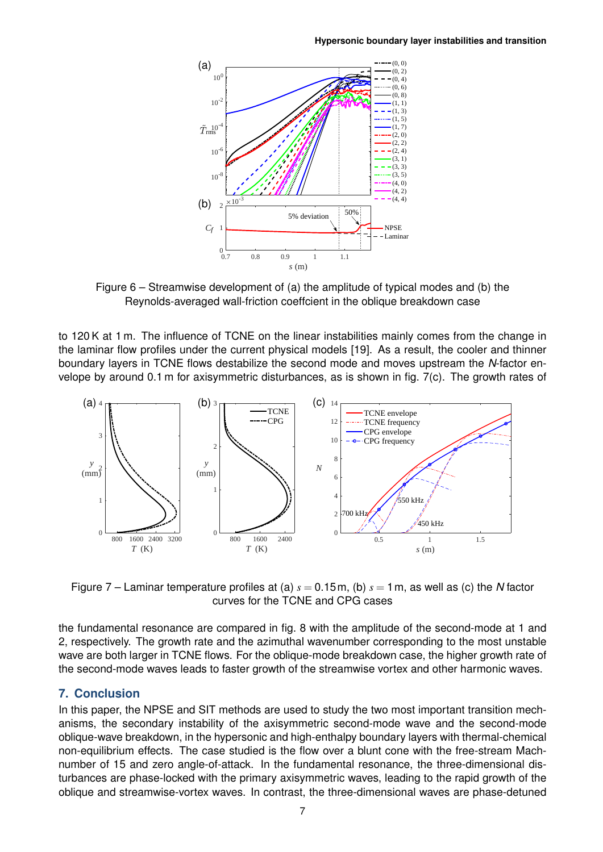<span id="page-6-0"></span>

Figure 6 – Streamwise development of (a) the amplitude of typical modes and (b) the Reynolds-averaged wall-friction coeffcient in the oblique breakdown case

to 120 K at 1 m. The influence of TCNE on the linear instabilities mainly comes from the change in the laminar flow profiles under the current physical models [19]. As a result, the cooler and thinner boundary layers in TCNE flows destabilize the second mode and moves upstream the *N*-factor envelope by around 0.1 m for axisymmetric disturbances, as is shown in fig. 7(c). The growth rates of

<span id="page-6-1"></span>

Figure 7 – Laminar temperature profiles at (a) *s* = 0.15m, (b) *s* = 1m, as well as (c) the *N* factor curves for the TCNE and CPG cases

the fundamental resonance are compared in fig. 8 with the amplitude of the second-mode at 1 and 2, respectively. The growth rate and the azimuthal wavenumber corresponding to the most unstable wave are both larger in TCNE flows. For the oblique-mode breakdown case, the higher growth rate of the second-mode waves leads to faster growt[h of th](#page-7-7)e streamwise vortex and other harmonic waves.

## **7. Conclusion**

In this paper, the NPSE and SIT methods are used to study the two most important transition mechanisms, the secondary instability of the axisymmetric second-mode wave and the second-mode oblique-wave breakdown, in the hypersonic and high-enthalpy boundary layers with thermal-chemical non-equilibrium effects. The case studied is the flow over a blunt cone with the free-stream Machnumber of 15 and zero angle-of-attack. In the fundamental resonance, the three-dimensional disturbances are phase-locked with the primary axisymmetric waves, leading to the rapid growth of the oblique and streamwise-vortex waves. In contrast, the three-dimensional waves are phase-detuned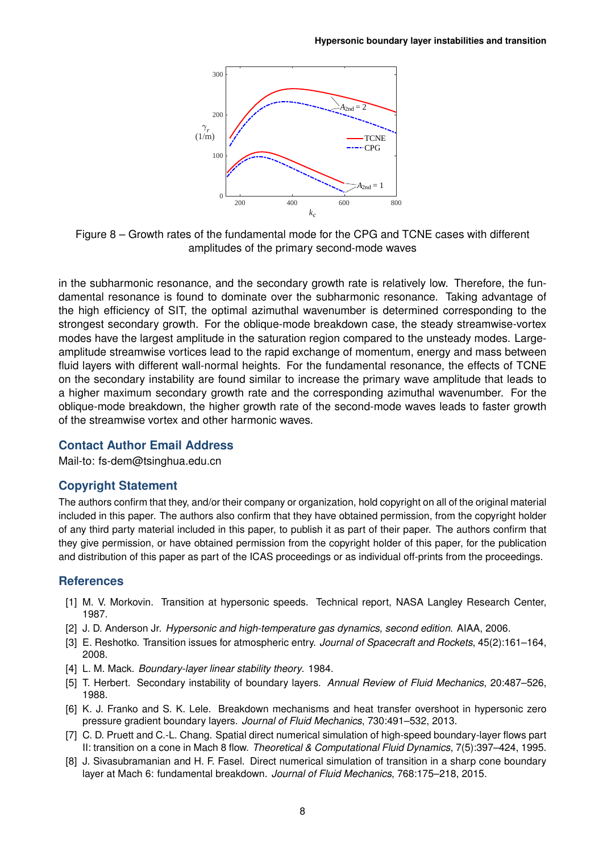<span id="page-7-7"></span>

Figure 8 – Growth rates of the fundamental mode for the CPG and TCNE cases with different amplitudes of the primary second-mode waves

in the subharmonic resonance, and the secondary growth rate is relatively low. Therefore, the fundamental resonance is found to dominate over the subharmonic resonance. Taking advantage of the high efficiency of SIT, the optimal azimuthal wavenumber is determined corresponding to the strongest secondary growth. For the oblique-mode breakdown case, the steady streamwise-vortex modes have the largest amplitude in the saturation region compared to the unsteady modes. Largeamplitude streamwise vortices lead to the rapid exchange of momentum, energy and mass between fluid layers with different wall-normal heights. For the fundamental resonance, the effects of TCNE on the secondary instability are found similar to increase the primary wave amplitude that leads to a higher maximum secondary growth rate and the corresponding azimuthal wavenumber. For the oblique-mode breakdown, the higher growth rate of the second-mode waves leads to faster growth of the streamwise vortex and other harmonic waves.

# **Contact Author Email Address**

Mail-to: fs-dem@tsinghua.edu.cn

# **Copyright Statement**

The authors confirm that they, and/or their company or organization, hold copyright on all of the original material included in this paper. The authors also confirm that they have obtained permission, from the copyright holder of any third party material included in this paper, to publish it as part of their paper. The authors confirm that they give permission, or have obtained permission from the copyright holder of this paper, for the publication and distribution of this paper as part of the ICAS proceedings or as individual off-prints from the proceedings.

## **References**

- <span id="page-7-0"></span>[1] M. V. Morkovin. Transition at hypersonic speeds. Technical report, NASA Langley Research Center, 1987.
- <span id="page-7-1"></span>[2] J. D. Anderson Jr. *Hypersonic and high-temperature gas dynamics, second edition*. AIAA, 2006.
- <span id="page-7-2"></span>[3] E. Reshotko. Transition issues for atmospheric entry. *Journal of Spacecraft and Rockets*, 45(2):161–164, 2008.
- <span id="page-7-3"></span>[4] L. M. Mack. *Boundary-layer linear stability theory*. 1984.
- <span id="page-7-5"></span>[5] T. Herbert. Secondary instability of boundary layers. *Annual Review of Fluid Mechanics*, 20:487–526, 1988.
- [6] K. J. Franko and S. K. Lele. Breakdown mechanisms and heat transfer overshoot in hypersonic zero pressure gradient boundary layers. *Journal of Fluid Mechanics*, 730:491–532, 2013.
- <span id="page-7-4"></span>[7] C. D. Pruett and C.-L. Chang. Spatial direct numerical simulation of high-speed boundary-layer flows part II: transition on a cone in Mach 8 flow. *Theoretical & Computational Fluid Dynamics*, 7(5):397–424, 1995.
- <span id="page-7-6"></span>[8] J. Sivasubramanian and H. F. Fasel. Direct numerical simulation of transition in a sharp cone boundary layer at Mach 6: fundamental breakdown. *Journal of Fluid Mechanics*, 768:175–218, 2015.